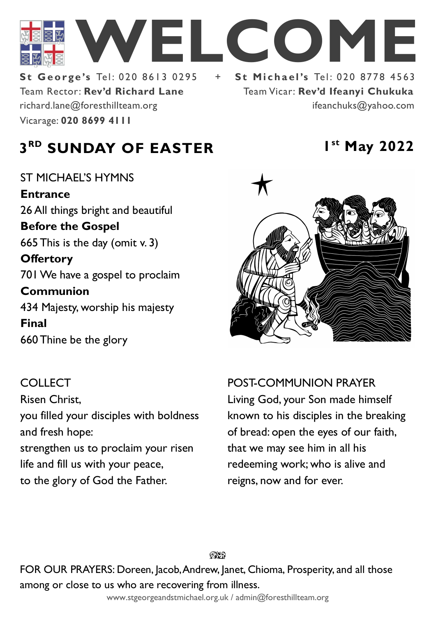

Team Rector: **Rev'd Richard Lane St George's Tel: 020 8613 0295** Vicarage: **020 8699 4111**  richard.lane@foresthillteam.org ifeanchuks@yahoo.com

Team Vicar: **Rev'd Ifeanyi Chukuka**

**st May 2022**

# **3 RD SUNDAY OF EASTER 1**

ST MICHAEL'S HYMNS **Entrance** 26 All things bright and beautiful **Before the Gospel**  665 This is the day (omit v. 3) **Offertory**  701 We have a gospel to proclaim **Communion**  434 Majesty, worship his majesty **Final**  660 Thine be the glory

#### **COLLECT**

Risen Christ, you filled your disciples with boldness and fresh hope: strengthen us to proclaim your risen

life and fill us with your peace,

to the glory of God the Father.



#### POST-COMMUNION PRAYER

Living God, your Son made himself known to his disciples in the breaking of bread: open the eyes of our faith, that we may see him in all his redeeming work; who is alive and reigns, now and for ever.

೧೪೧

FOR OUR PRAYERS: Doreen, Jacob, Andrew, Janet, Chioma, Prosperity, and all those among or close to us who are recovering from illness.

www.stgeorgeandstmichael.org.uk / admin@foresthillteam.org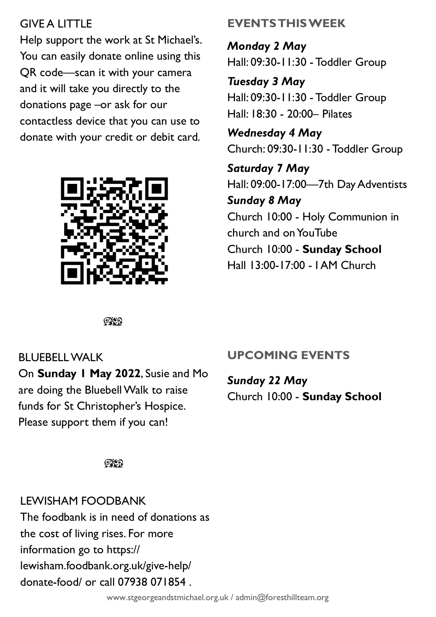## GIVE A LITTLE

Help support the work at St Michael's. You can easily donate online using this QR code—scan it with your camera and it will take you directly to the donations page –or ask for our contactless device that you can use to donate with your credit or debit card.



# **EVENTS THIS WEEK**

*Monday 2 May* Hall: 09:30-11:30 - Toddler Group

*Tuesday 3 May* Hall: 09:30-11:30 - Toddler Group Hall: 18:30 - 20:00– Pilates

*Wednesday 4 May* Church: 09:30-11:30 - Toddler Group

*Saturday 7 May* Hall: 09:00-17:00—7th Day Adventists *Sunday 8 May* Church 10:00 - Holy Communion in church and on YouTube Church 10:00 - **Sunday School** Hall 13:00-17:00 - I AM Church

**OKO** 

BLUEBELL WALK On **Sunday 1 May 2022**, Susie and Mo are doing the Bluebell Walk to raise funds for St Christopher's Hospice. Please support them if you can!

# **UPCOMING EVENTS**

*Sunday 22 May* Church 10:00 - **Sunday School**

೧೪೧

LEWISHAM FOODBANK The foodbank is in need of donations as the cost of living rises. For more information go to https:// lewisham.foodbank.org.uk/give-help/ donate-food/ or call 07938 071854 .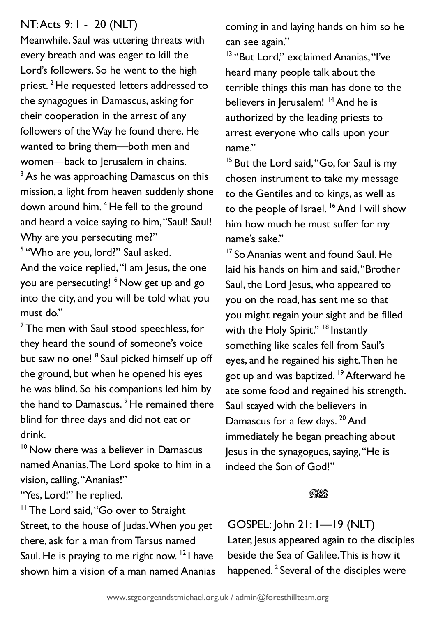### NT: Acts 9: 1 - 20 (NLT)

Meanwhile, Saul was uttering threats with every breath and was eager to kill the Lord's followers. So he went to the high priest.<sup>2</sup> He requested letters addressed to the synagogues in Damascus, asking for their cooperation in the arrest of any followers of the Way he found there. He wanted to bring them—both men and women—back to Jerusalem in chains.

 $3$  As he was approaching Damascus on this mission, a light from heaven suddenly shone down around him. <sup>4</sup> He fell to the ground and heard a voice saying to him,"Saul! Saul! Why are you persecuting me?"

<sup>5</sup> "Who are you, lord?" Saul asked. And the voice replied,"I am Jesus, the one you are persecuting! <sup>6</sup> Now get up and go into the city, and you will be told what you must do."

 $7$  The men with Saul stood speechless, for they heard the sound of someone's voice but saw no one! <sup>8</sup> Saul picked himself up off the ground, but when he opened his eyes he was blind. So his companions led him by the hand to Damascus.<sup>9</sup> He remained there blind for three days and did not eat or drink.

<sup>10</sup> Now there was a believer in Damascus named Ananias. The Lord spoke to him in a vision, calling,"Ananias!"

"Yes, Lord!" he replied.

<sup>11</sup> The Lord said, "Go over to Straight Street, to the house of Judas. When you get there, ask for a man from Tarsus named Saul. He is praying to me right now. <sup>12</sup> I have shown him a vision of a man named Ananias coming in and laying hands on him so he can see again."

<sup>13</sup> "But Lord," exclaimed Ananias, "I've heard many people talk about the terrible things this man has done to the believers in Jerusalem! <sup>14</sup> And he is authorized by the leading priests to arrest everyone who calls upon your name."

<sup>15</sup> But the Lord said, "Go, for Saul is my chosen instrument to take my message to the Gentiles and to kings, as well as to the people of Israel. <sup>16</sup> And I will show him how much he must suffer for my name's sake."

<sup>17</sup> So Ananias went and found Saul. He laid his hands on him and said, "Brother Saul, the Lord Jesus, who appeared to you on the road, has sent me so that you might regain your sight and be filled with the Holy Spirit."<sup>18</sup> Instantly something like scales fell from Saul's eyes, and he regained his sight. Then he got up and was baptized.<sup>19</sup> Afterward he ate some food and regained his strength. Saul stayed with the believers in Damascus for a few days. <sup>20</sup> And immediately he began preaching about Jesus in the synagogues, saying, "He is indeed the Son of God!"

#### ೧೪೧

GOSPEL: John 21: 1—19 (NLT) Later, Jesus appeared again to the disciples beside the Sea of Galilee.This is how it happened.<sup>2</sup> Several of the disciples were